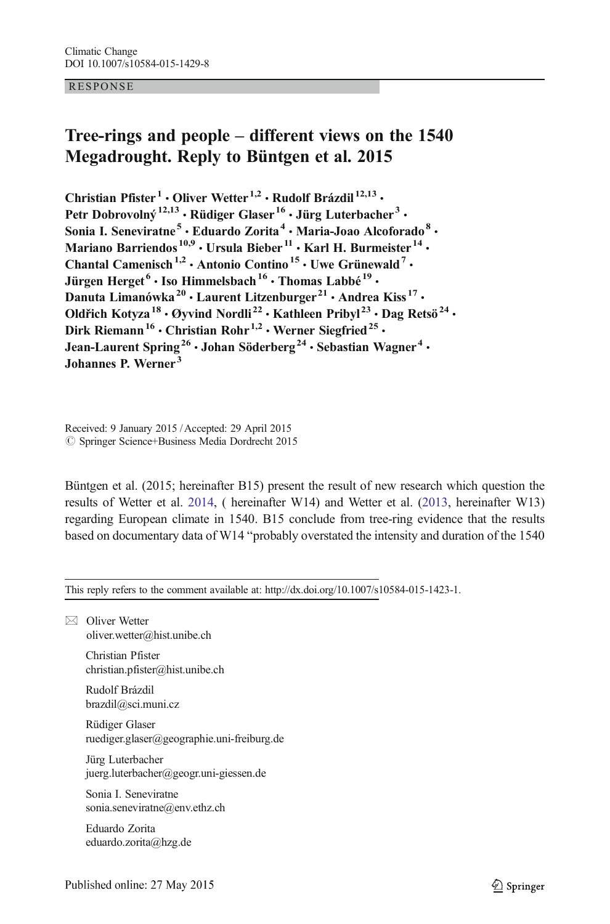## RESPONSE

## Tree-rings and people – different views on the 1540 Megadrought. Reply to Büntgen et al. 2015

Christian Pfister<sup>1</sup> · Oliver Wetter<sup>1,2</sup> · Rudolf Brázdil<sup>12,13</sup> · Petr Dobrovolný<sup>12,13</sup> · Rüdiger Glaser<sup>16</sup> · Jürg Luterbacher<sup>3</sup> · Sonia I. Seneviratne<sup>5</sup> · Eduardo Zorita<sup>4</sup> · Maria-Joao Alcoforado<sup>8</sup> · Mariano Barriendos<sup>10,9</sup> · Ursula Bieber<sup>11</sup> · Karl H. Burmeister<sup>14</sup> · Chantal Camenisch<sup>1,2</sup>  $\cdot$  Antonio Contino<sup>15</sup>  $\cdot$  Uwe Grünewald<sup>7</sup>  $\cdot$ Jürgen Herget<sup>6</sup> · Iso Himmelsbach<sup>16</sup> · Thomas Labbé<sup>19</sup> · Danuta Limanówka<sup>20</sup> · Laurent Litzenburger<sup>21</sup> · Andrea Kiss<sup>17</sup> · Oldřich Kotyza<sup>18</sup> · Øyvind Nordli<sup>22</sup> · Kathleen Pribyl<sup>23</sup> · Dag Retsö<sup>24</sup> · Dirk Riemann<sup>16</sup> · Christian Rohr<sup>1,2</sup> · Werner Siegfried<sup>25</sup> · Jean-Laurent Spring<sup>26</sup> • Johan Söderberg<sup>24</sup> • Sebastian Wagner<sup>4</sup> • Johannes P. Werner <sup>3</sup>

Received: 9 January 2015 /Accepted: 29 April 2015  $\oslash$  Springer Science+Business Media Dordrecht 2015

Büntgen et al. (2015; hereinafter B15) present the result of new research which question the results of Wetter et al. [2014](#page-7-0), ( hereinafter W14) and Wetter et al. [\(2013,](#page-7-0) hereinafter W13) regarding European climate in 1540. B15 conclude from tree-ring evidence that the results based on documentary data of W14 "probably overstated the intensity and duration of the 1540

This reply refers to the comment available at: [http://dx.doi.org/10.1007/s10584-015-1423-1](http://dx.doi.org/http://dx.doi.org/10.1007/s10584-015-1423-1).

 $\boxtimes$  Oliver Wetter oliver.wetter@hist.unibe.ch

> Christian Pfister christian.pfister@hist.unibe.ch

Rudolf Brázdil brazdil@sci.muni.cz

Rüdiger Glaser ruediger.glaser@geographie.uni-freiburg.de

Jürg Luterbacher juerg.luterbacher@geogr.uni-giessen.de

Sonia I. Seneviratne sonia.seneviratne@env.ethz.ch

Eduardo Zorita eduardo.zorita@hzg.de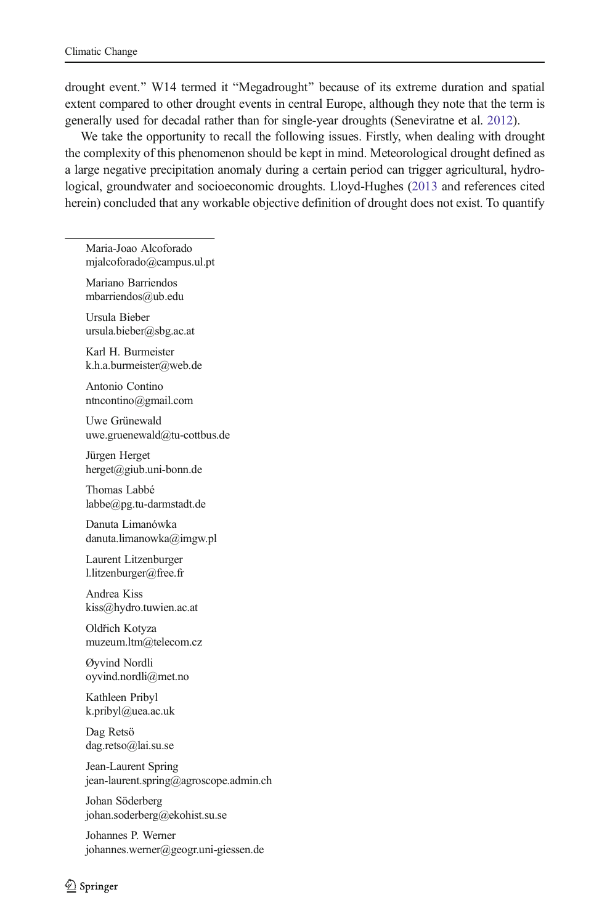drought event." W14 termed it "Megadrought" because of its extreme duration and spatial extent compared to other drought events in central Europe, although they note that the term is generally used for decadal rather than for single-year droughts (Seneviratne et al. [2012\)](#page-7-0).

We take the opportunity to recall the following issues. Firstly, when dealing with drought the complexity of this phenomenon should be kept in mind. Meteorological drought defined as a large negative precipitation anomaly during a certain period can trigger agricultural, hydrological, groundwater and socioeconomic droughts. Lloyd-Hughes ([2013](#page-6-0) and references cited herein) concluded that any workable objective definition of drought does not exist. To quantify

Maria-Joao Alcoforado mjalcoforado@campus.ul.pt

Mariano Barriendos mbarriendos@ub.edu

Ursula Bieber ursula.bieber@sbg.ac.at

Karl H. Burmeister k.h.a.burmeister@web.de

Antonio Contino ntncontino@gmail.com

Uwe Grünewald uwe.gruenewald@tu-cottbus.de

Jürgen Herget herget@giub.uni-bonn.de

Thomas Labbé labbe@pg.tu-darmstadt.de

Danuta Limanówka danuta.limanowka@imgw.pl

Laurent Litzenburger l.litzenburger@free.fr

Andrea Kiss kiss@hydro.tuwien.ac.at

Oldřich Kotyza muzeum.ltm@telecom.cz

Øyvind Nordli oyvind.nordli@met.no

Kathleen Pribyl k.pribyl@uea.ac.uk

Dag Retsö dag.retso@lai.su.se

Jean-Laurent Spring jean-laurent.spring@agroscope.admin.ch

Johan Söderberg johan.soderberg@ekohist.su.se

Johannes P. Werner johannes.werner@geogr.uni-giessen.de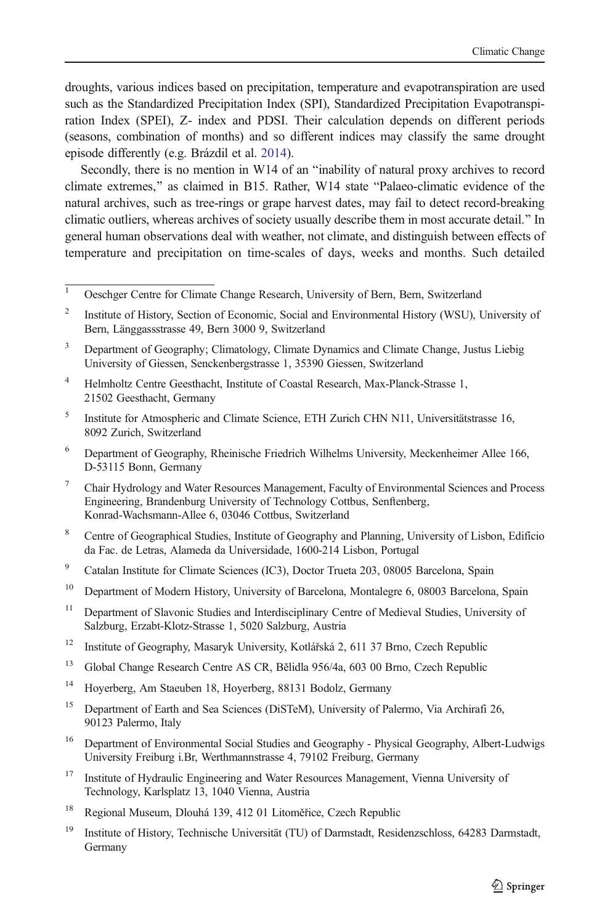droughts, various indices based on precipitation, temperature and evapotranspiration are used such as the Standardized Precipitation Index (SPI), Standardized Precipitation Evapotranspiration Index (SPEI), Z- index and PDSI. Their calculation depends on different periods (seasons, combination of months) and so different indices may classify the same drought episode differently (e.g. Brázdil et al. [2014\)](#page-6-0).

Secondly, there is no mention in W14 of an "inability of natural proxy archives to record climate extremes," as claimed in B15. Rather, W14 state "Palaeo-climatic evidence of the natural archives, such as tree-rings or grape harvest dates, may fail to detect record-breaking climatic outliers, whereas archives of society usually describe them in most accurate detail." In general human observations deal with weather, not climate, and distinguish between effects of temperature and precipitation on time-scales of days, weeks and months. Such detailed

- <sup>3</sup> Department of Geography; Climatology, Climate Dynamics and Climate Change, Justus Liebig University of Giessen, Senckenbergstrasse 1, 35390 Giessen, Switzerland
- <sup>4</sup> Helmholtz Centre Geesthacht, Institute of Coastal Research, Max-Planck-Strasse 1, 21502 Geesthacht, Germany
- <sup>5</sup> Institute for Atmospheric and Climate Science, ETH Zurich CHN N11, Universitätstrasse 16, 8092 Zurich, Switzerland
- <sup>6</sup> Department of Geography, Rheinische Friedrich Wilhelms University, Meckenheimer Allee 166, D-53115 Bonn, Germany
- <sup>7</sup> Chair Hydrology and Water Resources Management, Faculty of Environmental Sciences and Process Engineering, Brandenburg University of Technology Cottbus, Senftenberg, Konrad-Wachsmann-Allee 6, 03046 Cottbus, Switzerland
- <sup>8</sup> Centre of Geographical Studies, Institute of Geography and Planning, University of Lisbon, Edifício da Fac. de Letras, Alameda da Universidade, 1600-214 Lisbon, Portugal
- <sup>9</sup> Catalan Institute for Climate Sciences (IC3), Doctor Trueta 203, 08005 Barcelona, Spain
- <sup>10</sup> Department of Modern History, University of Barcelona, Montalegre 6, 08003 Barcelona, Spain
- <sup>11</sup> Department of Slavonic Studies and Interdisciplinary Centre of Medieval Studies, University of Salzburg, Erzabt-Klotz-Strasse 1, 5020 Salzburg, Austria
- <sup>12</sup> Institute of Geography, Masaryk University, Kotlářská 2, 611 37 Brno, Czech Republic
- <sup>13</sup> Global Change Research Centre AS CR, Bělidla 956/4a, 603 00 Brno, Czech Republic
- <sup>14</sup> Hoyerberg, Am Staeuben 18, Hoyerberg, 88131 Bodolz, Germany
- <sup>15</sup> Department of Earth and Sea Sciences (DiSTeM), University of Palermo, Via Archirafi 26, 90123 Palermo, Italy
- <sup>16</sup> Department of Environmental Social Studies and Geography Physical Geography, Albert-Ludwigs University Freiburg i.Br, Werthmannstrasse 4, 79102 Freiburg, Germany
- <sup>17</sup> Institute of Hydraulic Engineering and Water Resources Management, Vienna University of Technology, Karlsplatz 13, 1040 Vienna, Austria
- <sup>18</sup> Regional Museum, Dlouhá 139, 412 01 Litoměřice, Czech Republic
- <sup>19</sup> Institute of History, Technische Universität (TU) of Darmstadt, Residenzschloss, 64283 Darmstadt, Germany

<sup>&</sup>lt;sup>1</sup> Oeschger Centre for Climate Change Research, University of Bern, Bern, Switzerland

<sup>&</sup>lt;sup>2</sup> Institute of History, Section of Economic, Social and Environmental History (WSU), University of Bern, Länggassstrasse 49, Bern 3000 9, Switzerland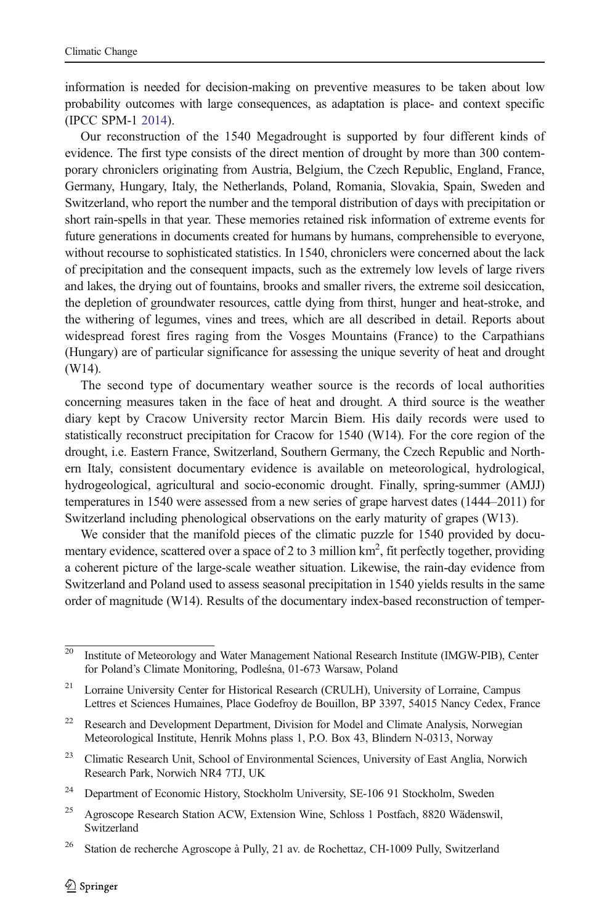information is needed for decision-making on preventive measures to be taken about low probability outcomes with large consequences, as adaptation is place- and context specific (IPCC SPM-1 [2014\)](#page-6-0).

Our reconstruction of the 1540 Megadrought is supported by four different kinds of evidence. The first type consists of the direct mention of drought by more than 300 contemporary chroniclers originating from Austria, Belgium, the Czech Republic, England, France, Germany, Hungary, Italy, the Netherlands, Poland, Romania, Slovakia, Spain, Sweden and Switzerland, who report the number and the temporal distribution of days with precipitation or short rain-spells in that year. These memories retained risk information of extreme events for future generations in documents created for humans by humans, comprehensible to everyone, without recourse to sophisticated statistics. In 1540, chroniclers were concerned about the lack of precipitation and the consequent impacts, such as the extremely low levels of large rivers and lakes, the drying out of fountains, brooks and smaller rivers, the extreme soil desiccation, the depletion of groundwater resources, cattle dying from thirst, hunger and heat-stroke, and the withering of legumes, vines and trees, which are all described in detail. Reports about widespread forest fires raging from the Vosges Mountains (France) to the Carpathians (Hungary) are of particular significance for assessing the unique severity of heat and drought (W14).

The second type of documentary weather source is the records of local authorities concerning measures taken in the face of heat and drought. A third source is the weather diary kept by Cracow University rector Marcin Biem. His daily records were used to statistically reconstruct precipitation for Cracow for 1540 (W14). For the core region of the drought, i.e. Eastern France, Switzerland, Southern Germany, the Czech Republic and Northern Italy, consistent documentary evidence is available on meteorological, hydrological, hydrogeological, agricultural and socio-economic drought. Finally, spring-summer (AMJJ) temperatures in 1540 were assessed from a new series of grape harvest dates (1444–2011) for Switzerland including phenological observations on the early maturity of grapes (W13).

We consider that the manifold pieces of the climatic puzzle for 1540 provided by documentary evidence, scattered over a space of 2 to 3 million  $km^2$ , fit perfectly together, providing a coherent picture of the large-scale weather situation. Likewise, the rain-day evidence from Switzerland and Poland used to assess seasonal precipitation in 1540 yields results in the same order of magnitude (W14). Results of the documentary index-based reconstruction of temper-

 $\overline{20}$  Institute of Meteorology and Water Management National Research Institute (IMGW-PIB), Center for Poland's Climate Monitoring, Podleśna, 01-673 Warsaw, Poland

<sup>&</sup>lt;sup>21</sup> Lorraine University Center for Historical Research (CRULH), University of Lorraine, Campus Lettres et Sciences Humaines, Place Godefroy de Bouillon, BP 3397, 54015 Nancy Cedex, France

<sup>&</sup>lt;sup>22</sup> Research and Development Department, Division for Model and Climate Analysis, Norwegian Meteorological Institute, Henrik Mohns plass 1, P.O. Box 43, Blindern N-0313, Norway

<sup>&</sup>lt;sup>23</sup> Climatic Research Unit, School of Environmental Sciences, University of East Anglia, Norwich Research Park, Norwich NR4 7TJ, UK

<sup>&</sup>lt;sup>24</sup> Department of Economic History, Stockholm University, SE-106 91 Stockholm, Sweden

<sup>25</sup> Agroscope Research Station ACW, Extension Wine, Schloss 1 Postfach, 8820 Wädenswil, Switzerland

<sup>&</sup>lt;sup>26</sup> Station de recherche Agroscope à Pully, 21 av. de Rochettaz, CH-1009 Pully, Switzerland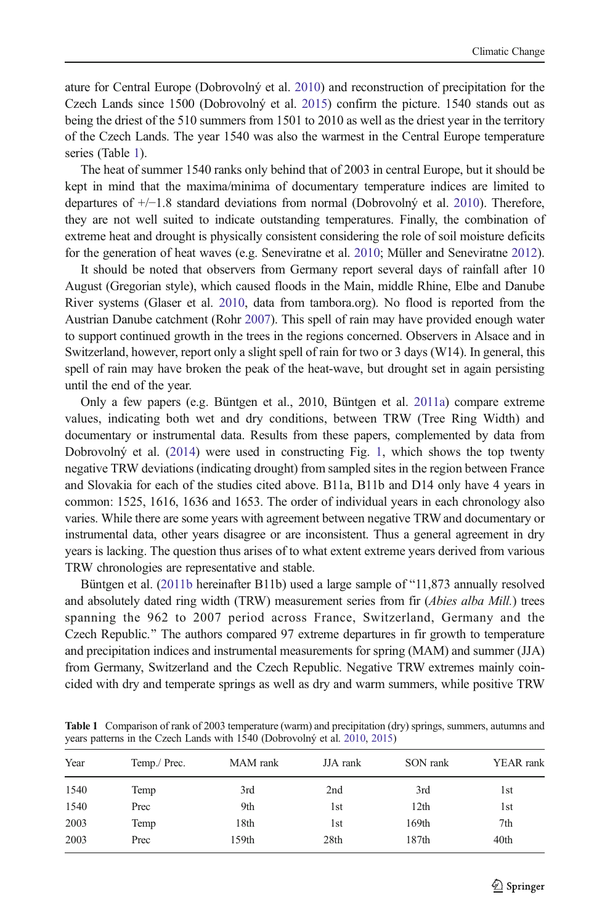<span id="page-4-0"></span>ature for Central Europe (Dobrovolný et al. [2010\)](#page-6-0) and reconstruction of precipitation for the Czech Lands since 1500 (Dobrovolný et al. [2015](#page-6-0)) confirm the picture. 1540 stands out as being the driest of the 510 summers from 1501 to 2010 as well as the driest year in the territory of the Czech Lands. The year 1540 was also the warmest in the Central Europe temperature series (Table 1).

The heat of summer 1540 ranks only behind that of 2003 in central Europe, but it should be kept in mind that the maxima/minima of documentary temperature indices are limited to departures of +/−1.8 standard deviations from normal (Dobrovolný et al. [2010\)](#page-6-0). Therefore, they are not well suited to indicate outstanding temperatures. Finally, the combination of extreme heat and drought is physically consistent considering the role of soil moisture deficits for the generation of heat waves (e.g. Seneviratne et al. [2010;](#page-7-0) Müller and Seneviratne [2012](#page-6-0)).

It should be noted that observers from Germany report several days of rainfall after 10 August (Gregorian style), which caused floods in the Main, middle Rhine, Elbe and Danube River systems (Glaser et al. [2010](#page-6-0), data from tambora.org). No flood is reported from the Austrian Danube catchment (Rohr [2007\)](#page-7-0). This spell of rain may have provided enough water to support continued growth in the trees in the regions concerned. Observers in Alsace and in Switzerland, however, report only a slight spell of rain for two or 3 days (W14). In general, this spell of rain may have broken the peak of the heat-wave, but drought set in again persisting until the end of the year.

Only a few papers (e.g. Büntgen et al., 2010, Büntgen et al. [2011a\)](#page-6-0) compare extreme values, indicating both wet and dry conditions, between TRW (Tree Ring Width) and documentary or instrumental data. Results from these papers, complemented by data from Dobrovolný et al. [\(2014\)](#page-6-0) were used in constructing Fig. [1,](#page-5-0) which shows the top twenty negative TRW deviations (indicating drought) from sampled sites in the region between France and Slovakia for each of the studies cited above. B11a, B11b and D14 only have 4 years in common: 1525, 1616, 1636 and 1653. The order of individual years in each chronology also varies. While there are some years with agreement between negative TRW and documentary or instrumental data, other years disagree or are inconsistent. Thus a general agreement in dry years is lacking. The question thus arises of to what extent extreme years derived from various TRW chronologies are representative and stable.

Büntgen et al. ([2011b](#page-6-0) hereinafter B11b) used a large sample of "11,873 annually resolved and absolutely dated ring width (TRW) measurement series from fir (*Abies alba Mill.*) trees spanning the 962 to 2007 period across France, Switzerland, Germany and the Czech Republic.^ The authors compared 97 extreme departures in fir growth to temperature and precipitation indices and instrumental measurements for spring (MAM) and summer (JJA) from Germany, Switzerland and the Czech Republic. Negative TRW extremes mainly coincided with dry and temperate springs as well as dry and warm summers, while positive TRW

| $j$ can parent in the excent named what is to (posteroing completely note) |              |          |          |          |           |
|----------------------------------------------------------------------------|--------------|----------|----------|----------|-----------|
| Year                                                                       | Temp./ Prec. | MAM rank | JJA rank | SON rank | YEAR rank |
| 1540                                                                       | Temp         | 3rd      | 2nd      | 3rd      | 1st       |
| 1540                                                                       | Prec         | 9th      | 1st      | 12th     | 1st       |
| 2003                                                                       | Temp         | 18th     | 1st      | 169th    | 7th       |

2003 Prec 159th 28th 187th 40th

Table 1 Comparison of rank of 2003 temperature (warm) and precipitation (dry) springs, summers, autumns and years patterns in the Czech Lands with 1540 (Dobrovolný et al. [2010](#page-6-0), [2015](#page-6-0))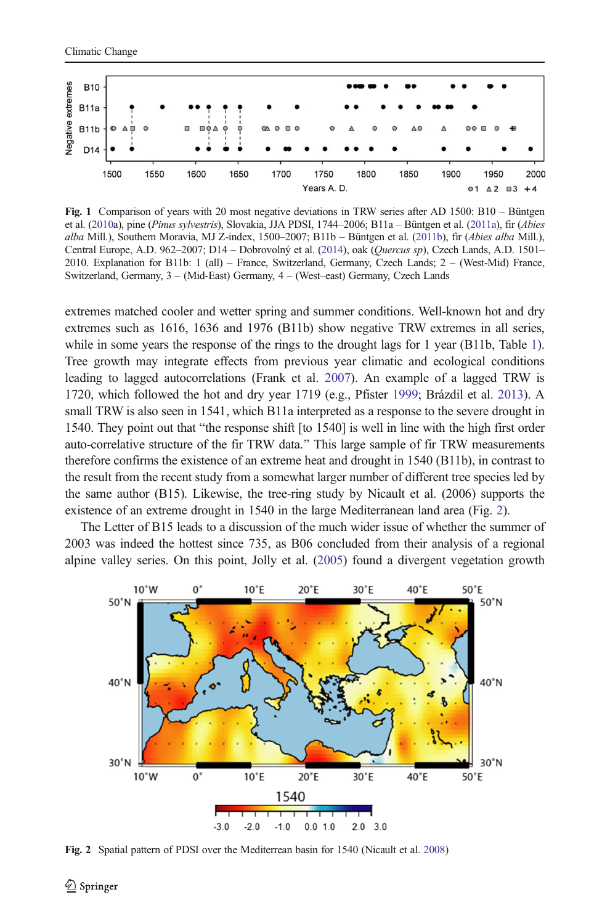<span id="page-5-0"></span>

Fig. 1 Comparison of years with 20 most negative deviations in TRW series after AD 1500: B10 – Büntgen et al. [\(2010a](#page-6-0)), pine (Pinus sylvestris), Slovakia, JJA PDSI, 1744–2006; B11a – Büntgen et al. [\(2011a\)](#page-6-0), fir (Abies alba Mill.), Southern Moravia, MJ Z-index, 1500–2007; B11b – Büntgen et al. ([2011b\)](#page-6-0), fir (Abies alba Mill.), Central Europe, A.D. 962–2007; D14 – Dobrovolný et al. ([2014](#page-6-0)), oak (Quercus sp), Czech Lands, A.D. 1501– 2010. Explanation for B11b: 1 (all) – France, Switzerland, Germany, Czech Lands; 2 – (West-Mid) France, Switzerland, Germany, 3 – (Mid-East) Germany, 4 – (West–east) Germany, Czech Lands

extremes matched cooler and wetter spring and summer conditions. Well-known hot and dry extremes such as 1616, 1636 and 1976 (B11b) show negative TRW extremes in all series, while in some years the response of the rings to the drought lags for [1](#page-4-0) year (B11b, Table 1). Tree growth may integrate effects from previous year climatic and ecological conditions leading to lagged autocorrelations (Frank et al. [2007\)](#page-6-0). An example of a lagged TRW is 1720, which followed the hot and dry year 1719 (e.g., Pfister [1999](#page-7-0); Brázdil et al. [2013](#page-6-0)). A small TRW is also seen in 1541, which B11a interpreted as a response to the severe drought in 1540. They point out that "the response shift [to 1540] is well in line with the high first order auto-correlative structure of the fir TRW data." This large sample of fir TRW measurements therefore confirms the existence of an extreme heat and drought in 1540 (B11b), in contrast to the result from the recent study from a somewhat larger number of different tree species led by the same author (B15). Likewise, the tree-ring study by Nicault et al. (2006) supports the existence of an extreme drought in 1540 in the large Mediterranean land area (Fig. 2).

The Letter of B15 leads to a discussion of the much wider issue of whether the summer of 2003 was indeed the hottest since 735, as B06 concluded from their analysis of a regional alpine valley series. On this point, Jolly et al. ([2005](#page-6-0)) found a divergent vegetation growth



Fig. 2 Spatial pattern of PDSI over the Mediterrean basin for 1540 (Nicault et al. [2008\)](#page-7-0)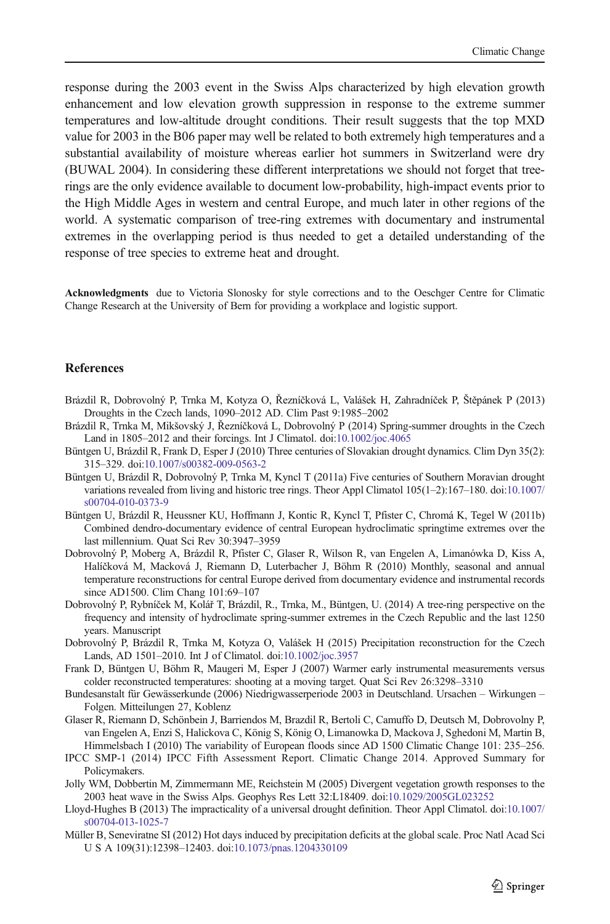<span id="page-6-0"></span>response during the 2003 event in the Swiss Alps characterized by high elevation growth enhancement and low elevation growth suppression in response to the extreme summer temperatures and low-altitude drought conditions. Their result suggests that the top MXD value for 2003 in the B06 paper may well be related to both extremely high temperatures and a substantial availability of moisture whereas earlier hot summers in Switzerland were dry (BUWAL 2004). In considering these different interpretations we should not forget that treerings are the only evidence available to document low-probability, high-impact events prior to the High Middle Ages in western and central Europe, and much later in other regions of the world. A systematic comparison of tree-ring extremes with documentary and instrumental extremes in the overlapping period is thus needed to get a detailed understanding of the response of tree species to extreme heat and drought.

Acknowledgments due to Victoria Slonosky for style corrections and to the Oeschger Centre for Climatic Change Research at the University of Bern for providing a workplace and logistic support.

## **References**

- Brázdil R, Dobrovolný P, Trnka M, Kotyza O, Řezníčková L, Valášek H, Zahradníček P, Štěpánek P (2013) Droughts in the Czech lands, 1090–2012 AD. Clim Past 9:1985–2002
- Brázdil R, Trnka M, Mikšovský J, Řezníčková L, Dobrovolný P (2014) Spring-summer droughts in the Czech Land in 1805–2012 and their forcings. Int J Climatol. doi[:10.1002/joc.4065](http://dx.doi.org/10.1002/joc.4065)
- Büntgen U, Brázdil R, Frank D, Esper J (2010) Three centuries of Slovakian drought dynamics. Clim Dyn 35(2): 315–329. doi[:10.1007/s00382-009-0563-2](http://dx.doi.org/10.1007/s00382-009-0563-2)
- Büntgen U, Brázdil R, Dobrovolný P, Trnka M, Kyncl T (2011a) Five centuries of Southern Moravian drought variations revealed from living and historic tree rings. Theor Appl Climatol 105(1–2):167–180. doi[:10.1007/](http://dx.doi.org/10.1007/s00704-010-0373-9) [s00704-010-0373-9](http://dx.doi.org/10.1007/s00704-010-0373-9)
- Büntgen U, Brázdil R, Heussner KU, Hoffmann J, Kontic R, Kyncl T, Pfister C, Chromá K, Tegel W (2011b) Combined dendro-documentary evidence of central European hydroclimatic springtime extremes over the last millennium. Quat Sci Rev 30:3947–3959
- Dobrovolný P, Moberg A, Brázdil R, Pfister C, Glaser R, Wilson R, van Engelen A, Limanówka D, Kiss A, Halíčková M, Macková J, Riemann D, Luterbacher J, Böhm R (2010) Monthly, seasonal and annual temperature reconstructions for central Europe derived from documentary evidence and instrumental records since AD1500. Clim Chang 101:69–107
- Dobrovolný P, Rybníček M, Kolář T, Brázdil, R., Trnka, M., Büntgen, U. (2014) A tree-ring perspective on the frequency and intensity of hydroclimate spring-summer extremes in the Czech Republic and the last 1250 years. Manuscript
- Dobrovolný P, Brázdil R, Trnka M, Kotyza O, Valášek H (2015) Precipitation reconstruction for the Czech Lands, AD 1501–2010. Int J of Climatol. doi[:10.1002/joc.3957](http://dx.doi.org/10.1002/joc.3957)
- Frank D, Büntgen U, Böhm R, Maugeri M, Esper J (2007) Warmer early instrumental measurements versus colder reconstructed temperatures: shooting at a moving target. Quat Sci Rev 26:3298–3310
- Bundesanstalt für Gewässerkunde (2006) Niedrigwasserperiode 2003 in Deutschland. Ursachen Wirkungen Folgen. Mitteilungen 27, Koblenz
- Glaser R, Riemann D, Schönbein J, Barriendos M, Brazdil R, Bertoli C, Camuffo D, Deutsch M, Dobrovolny P, van Engelen A, Enzi S, Halickova C, König S, König O, Limanowka D, Mackova J, Sghedoni M, Martin B, Himmelsbach I (2010) The variability of European floods since AD 1500 Climatic Change 101: 235–256.
- IPCC SMP-1 (2014) IPCC Fifth Assessment Report. Climatic Change 2014. Approved Summary for Policymakers.
- Jolly WM, Dobbertin M, Zimmermann ME, Reichstein M (2005) Divergent vegetation growth responses to the 2003 heat wave in the Swiss Alps. Geophys Res Lett 32:L18409. doi:[10.1029/2005GL023252](http://dx.doi.org/10.1029/2005GL023252)
- Lloyd-Hughes B (2013) The impracticality of a universal drought definition. Theor Appl Climatol. doi[:10.1007/](http://dx.doi.org/10.1007/s00704-013-1025-7) [s00704-013-1025-7](http://dx.doi.org/10.1007/s00704-013-1025-7)
- Müller B, Seneviratne SI (2012) Hot days induced by precipitation deficits at the global scale. Proc Natl Acad Sci U S A 109(31):12398–12403. doi[:10.1073/pnas.1204330109](http://dx.doi.org/10.1073/pnas.1204330109)